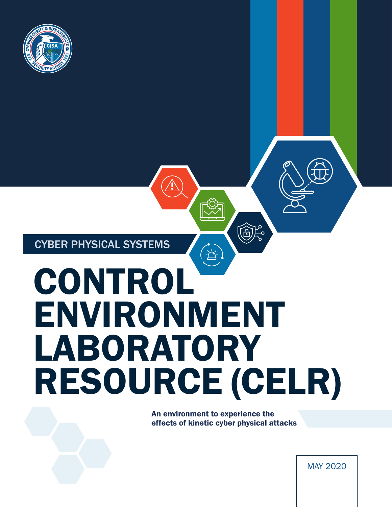

CYBER PHYSICAL SYSTEMS

# $\Delta$ CONTROL ENVIRONMENT LABORATORY RESOURCE (CELR)

An environment to experience the effects of kinetic cyber physical attacks

高宗

MAY 2020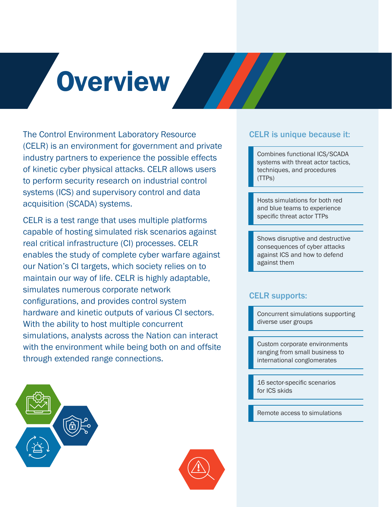# **Overview**

The Control Environment Laboratory Resource (CELR) is an environment for government and private industry partners to experience the possible effects of kinetic cyber physical attacks. CELR allows users to perform security research on industrial control systems (ICS) and supervisory control and data acquisition (SCADA) systems.

CELR is a test range that uses multiple platforms capable of hosting simulated risk scenarios against real critical infrastructure (CI) processes. CELR enables the study of complete cyber warfare against our Nation's CI targets, which society relies on to maintain our way of life. CELR is highly adaptable, simulates numerous corporate network configurations, and provides control system hardware and kinetic outputs of various CI sectors. With the ability to host multiple concurrent simulations, analysts across the Nation can interact with the environment while being both on and offsite through extended range connections.

### CELR is unique because it:

Combines functional ICS/SCADA systems with threat actor tactics, techniques, and procedures (TTPs)

Hosts simulations for both red and blue teams to experience specific threat actor TTPs

Shows disruptive and destructive consequences of cyber attacks against ICS and how to defend against them

### CELR supports:

Concurrent simulations supporting diverse user groups

Custom corporate environments ranging from small business to international conglomerates

16 sector-specific scenarios for ICS skids

Remote access to simulations



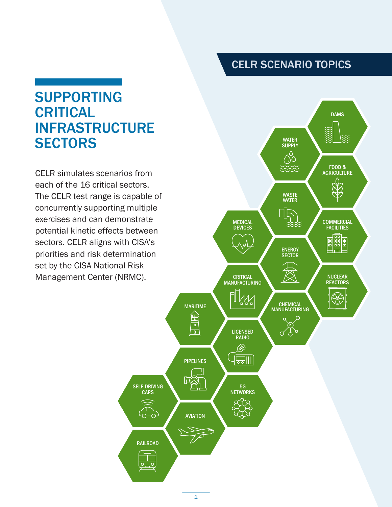### CELR SCENARIO TOPICS

## SUPPORTING CRITICAL INFRASTRUCTURE **SECTORS**

CELR simulates scenarios from each of the 16 critical sectors. The CELR test range is capable of concurrently supporting multiple exercises and can demonstrate potential kinetic effects between sectors. CELR aligns with CISA's priorities and risk determination set by the CISA National Risk Management Center (NRMC).

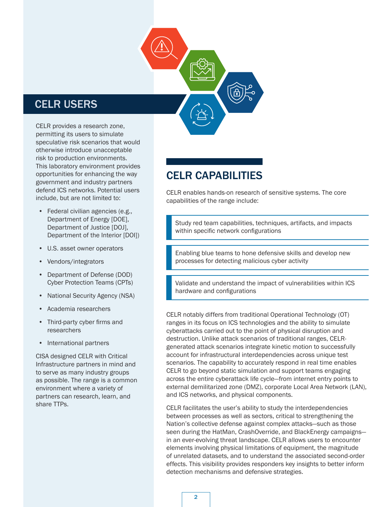### CELR USERS

CELR provides a research zone, permitting its users to simulate speculative risk scenarios that would otherwise introduce unacceptable risk to production environments. This laboratory environment provides opportunities for enhancing the way government and industry partners defend ICS networks. Potential users include, but are not limited to:

- Federal civilian agencies (e.g., Department of Energy [DOE], Department of Justice [DOJ], Department of the Interior [DOI])
- U.S. asset owner operators
- Vendors/integrators
- Department of Defense (DOD) Cyber Protection Teams (CPTs)
- National Security Agency (NSA)
- Academia researchers
- Third-party cyber firms and researchers
- International partners

CISA designed CELR with Critical Infrastructure partners in mind and to serve as many industry groups as possible. The range is a common environment where a variety of partners can research, learn, and share TTPs.

### CELR CAPABILITIES

CELR enables hands-on research of sensitive systems. The core capabilities of the range include:

Study red team capabilities, techniques, artifacts, and impacts within specific network configurations

Enabling blue teams to hone defensive skills and develop new processes for detecting malicious cyber activity

Validate and understand the impact of vulnerabilities within ICS hardware and configurations

CELR notably differs from traditional Operational Technology (OT) ranges in its focus on ICS technologies and the ability to simulate cyberattacks carried out to the point of physical disruption and destruction. Unlike attack scenarios of traditional ranges, CELRgenerated attack scenarios integrate kinetic motion to successfully account for infrastructural interdependencies across unique test scenarios. The capability to accurately respond in real time enables CELR to go beyond static simulation and support teams engaging across the entire cyberattack life cycle—from internet entry points to external demilitarized zone (DMZ), corporate Local Area Network (LAN), and ICS networks, and physical components.

CELR facilitates the user's ability to study the interdependencies between processes as well as sectors, critical to strengthening the Nation's collective defense against complex attacks—such as those seen during the HatMan, CrashOverride, and BlackEnergy campaigns in an ever-evolving threat landscape. CELR allows users to encounter elements involving physical limitations of equipment, the magnitude of unrelated datasets, and to understand the associated second-order effects. This visibility provides responders key insights to better inform detection mechanisms and defensive strategies.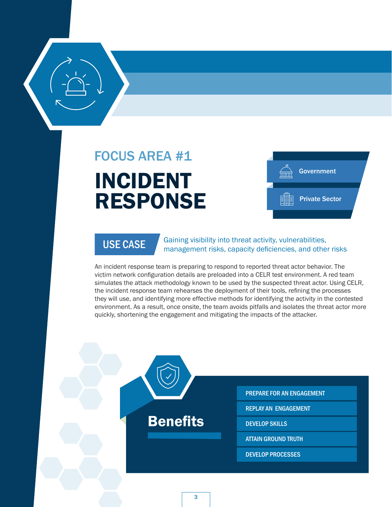

## INCIDENT RESPONSE FOCUS AREA #1





USE CASE Gaining visibility into threat activity, vulnerabilities, management risks, capacity deficiencies, and other risks

An incident response team is preparing to respond to reported threat actor behavior. The victim network configuration details are preloaded into a CELR test environment. A red team simulates the attack methodology known to be used by the suspected threat actor. Using CELR, the incident response team rehearses the deployment of their tools, refining the processes they will use, and identifying more effective methods for identifying the activity in the contested environment. As a result, once onsite, the team avoids pitfalls and isolates the threat actor more quickly, shortening the engagement and mitigating the impacts of the attacker.

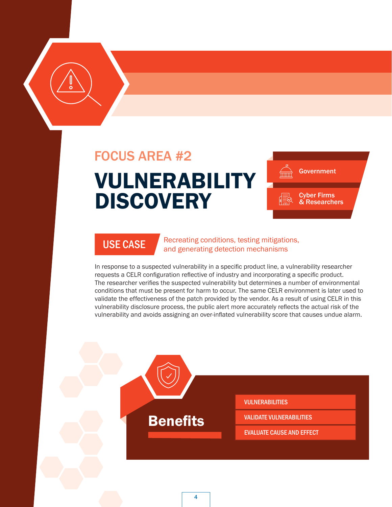### FOCUS AREA #2

## VULNERABILITY **DISCOVERY**





USE CASE Recreating conditions, testing mitigations, and generating detection mechanisms

In response to a suspected vulnerability in a specific product line, a vulnerability researcher requests a CELR configuration reflective of industry and incorporating a specific product. The researcher verifies the suspected vulnerability but determines a number of environmental conditions that must be present for harm to occur. The same CELR environment is later used to validate the effectiveness of the patch provided by the vendor. As a result of using CELR in this vulnerability disclosure process, the public alert more accurately reflects the actual risk of the vulnerability and avoids assigning an over-inflated vulnerability score that causes undue alarm.

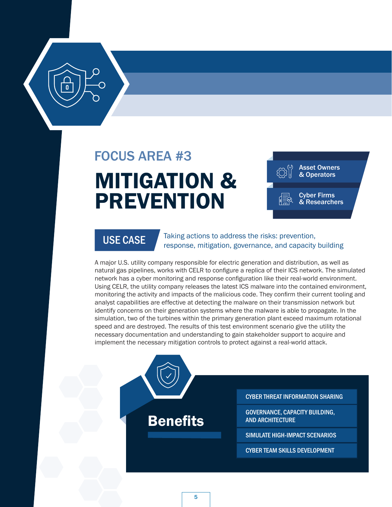## FOCUS AREA #3

## MITIGATION & PREVENTION





USE CASE Taking actions to address the risks: prevention, response, mitigation, governance, and capacity building

A major U.S. utility company responsible for electric generation and distribution, as well as natural gas pipelines, works with CELR to configure a replica of their ICS network. The simulated network has a cyber monitoring and response configuration like their real-world environment. Using CELR, the utility company releases the latest ICS malware into the contained environment, monitoring the activity and impacts of the malicious code. They confirm their current tooling and analyst capabilities are effective at detecting the malware on their transmission network but identify concerns on their generation systems where the malware is able to propagate. In the simulation, two of the turbines within the primary generation plant exceed maximum rotational speed and are destroyed. The results of this test environment scenario give the utility the necessary documentation and understanding to gain stakeholder support to acquire and implement the necessary mitigation controls to protect against a real-world attack.

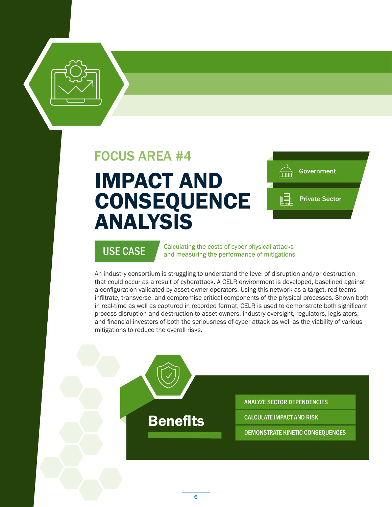### FOCUS AREA #4

## IMPACT AND CONSEQUENCE ANALYSIS



USE CASE Calculating the costs of cyber physical attacks<br>and measuring the performance of mitigations

An industry consortium is struggling to understand the level of disruption and/or destruction that could occur as a result of cyberattack. A CELR environment is developed, baselined against a configuration validated by asset owner operators. Using this network as a target, red teams infiltrate, transverse, and compromise critical components of the physical processes. Shown both in real-time as well as captured in recorded format, CELR is used to demonstrate both significant process disruption and destruction to asset owners, industry oversight, regulators, legislators, and financial investors of both the seriousness of cyber attack as well as the viability of various mitigations to reduce the overall risks.

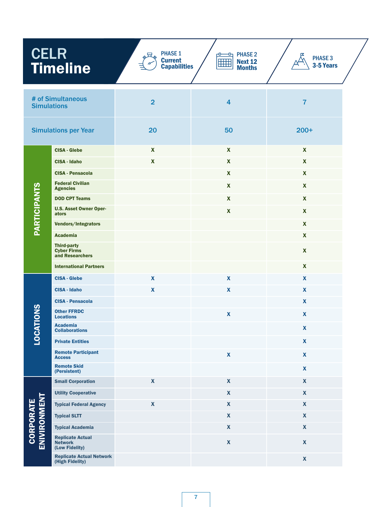| <b>CELR</b><br><b>Timeline</b>          |                                                             | <b>PHASE 1</b><br>$\Delta$<br><b>Current</b><br><b>Capabilities</b> | $\text{H}$ PHASE 2<br>ъ<br>HHH<br><b>Next 12</b><br><b>Months</b> | <b>PHASE 3</b><br>3-5 Years |  |
|-----------------------------------------|-------------------------------------------------------------|---------------------------------------------------------------------|-------------------------------------------------------------------|-----------------------------|--|
| # of Simultaneous<br><b>Simulations</b> |                                                             | $\overline{2}$                                                      | $\overline{\mathbf{4}}$                                           | $\overline{7}$              |  |
| <b>Simulations per Year</b>             |                                                             | 20                                                                  | 50                                                                | $200+$                      |  |
|                                         | <b>CISA - Glebe</b>                                         | $\mathbf{x}$                                                        | X                                                                 | $\mathbf{x}$                |  |
| <b>PARTICIPANTS</b>                     | <b>CISA - Idaho</b>                                         | $\mathbf x$                                                         | X                                                                 | X                           |  |
|                                         | <b>CISA - Pensacola</b>                                     |                                                                     | $\mathbf x$                                                       | X                           |  |
|                                         | <b>Federal Civilian</b><br><b>Agencies</b>                  |                                                                     | $\mathbf{x}$                                                      | $\mathbf{x}$                |  |
|                                         | <b>DOD CPT Teams</b>                                        |                                                                     | $\mathbf{x}$                                                      | X                           |  |
|                                         | <b>U.S. Asset Owner Oper-</b><br>ators                      |                                                                     | X                                                                 | $\mathbf{x}$                |  |
|                                         | Vendors/Integrators                                         |                                                                     |                                                                   | X                           |  |
|                                         | <b>Academia</b>                                             |                                                                     |                                                                   | X                           |  |
|                                         | <b>Third-party</b><br><b>Cyber Firms</b><br>and Researchers |                                                                     |                                                                   | $\mathbf{x}$                |  |
|                                         | <b>International Partners</b>                               |                                                                     |                                                                   | $\mathbf{x}$                |  |
|                                         | <b>CISA - Glebe</b>                                         | $\boldsymbol{\mathsf{X}}$                                           | X                                                                 | $\mathbf{x}$                |  |
|                                         | <b>CISA - Idaho</b>                                         | $\mathbf{x}$                                                        | X                                                                 | $\mathbf{x}$                |  |
|                                         | <b>CISA - Pensacola</b>                                     |                                                                     |                                                                   | $\mathbf{x}$                |  |
| <b>TIONS</b>                            | <b>Other FFRDC</b><br><b>Locations</b>                      |                                                                     | X                                                                 | X                           |  |
| LOCAT                                   | <b>Academia</b><br><b>Collaborations</b>                    |                                                                     |                                                                   | $\pmb{\mathsf{X}}$          |  |
|                                         | <b>Private Entities</b>                                     |                                                                     |                                                                   | $\boldsymbol{\mathsf{X}}$   |  |
|                                         | <b>Remote Participant</b><br><b>Access</b>                  |                                                                     | $\boldsymbol{\mathsf{X}}$                                         | $\mathbf{x}$                |  |
|                                         | <b>Remote Skid</b><br>(Persistent)                          |                                                                     |                                                                   | $\boldsymbol{\mathsf{X}}$   |  |
| <b>CORPORATE<br/>ENIVIRONMENT</b>       | <b>Small Corporation</b>                                    | $\mathbf{x}$                                                        | $\boldsymbol{\mathsf{X}}$                                         | $\boldsymbol{\mathsf{X}}$   |  |
|                                         | <b>Utility Cooperative</b>                                  |                                                                     | $\pmb{\mathsf{X}}$                                                | $\mathbf{x}$                |  |
|                                         | <b>Typical Federal Agency</b>                               | $\boldsymbol{\mathsf{X}}$                                           | $\boldsymbol{\mathsf{X}}$                                         | $\boldsymbol{\mathsf{X}}$   |  |
|                                         | <b>Typical SLTT</b>                                         |                                                                     | $\pmb{\mathsf{X}}$                                                | $\boldsymbol{\mathsf{X}}$   |  |
|                                         | <b>Typical Academia</b>                                     |                                                                     | $\boldsymbol{\mathsf{X}}$                                         | $\boldsymbol{\mathsf{X}}$   |  |
|                                         | <b>Replicate Actual</b><br><b>Network</b><br>(Low Fidelity) |                                                                     | $\pmb{\mathsf{X}}$                                                | $\pmb{\mathsf{X}}$          |  |
|                                         | <b>Replicate Actual Network</b><br>(High Fidelity)          |                                                                     |                                                                   | $\pmb{\mathsf{X}}$          |  |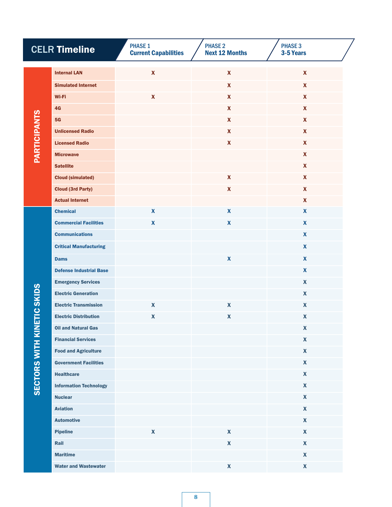| <b>CELR Timeline</b>              |                                | <b>PHASE 1</b><br><b>Current Capabilities</b> | <b>PHASE 2</b><br><b>Next 12 Months</b> | <b>PHASE 3</b><br>3-5 Years |
|-----------------------------------|--------------------------------|-----------------------------------------------|-----------------------------------------|-----------------------------|
| <b>PARTICIPANTS</b>               | <b>Internal LAN</b>            | $\mathbf{x}$                                  | $\boldsymbol{\mathsf{X}}$               | $\mathbf{x}$                |
|                                   | <b>Simulated Internet</b>      |                                               | $\mathbf{x}$                            | $\mathbf{x}$                |
|                                   | Wi-Fi                          | $\pmb{\mathsf{X}}$                            | $\mathbf{x}$                            | $\mathbf{x}$                |
|                                   | 4 <sub>G</sub>                 |                                               | $\mathbf{X}$                            | $\mathbf{x}$                |
|                                   | 5G                             |                                               | $\mathbf{x}$                            | $\mathbf{x}$                |
|                                   | <b>Unlicensed Radio</b>        |                                               | $\mathbf{X}$                            | $\mathbf{x}$                |
|                                   | <b>Licensed Radio</b>          |                                               | $\mathbf{x}$                            | $\mathbf{x}$                |
|                                   | <b>Microwave</b>               |                                               |                                         | $\mathbf{x}$                |
|                                   | <b>Satellite</b>               |                                               |                                         | $\mathbf{x}$                |
|                                   | <b>Cloud (simulated)</b>       |                                               | $\mathbf{x}$                            | $\mathbf{x}$                |
|                                   | <b>Cloud (3rd Party)</b>       |                                               | $\mathbf{x}$                            | $\mathbf{x}$                |
|                                   | <b>Actual Internet</b>         |                                               |                                         | X                           |
|                                   | <b>Chemical</b>                | $\boldsymbol{\mathsf{X}}$                     | $\boldsymbol{\mathsf{x}}$               | $\boldsymbol{\mathsf{x}}$   |
|                                   | <b>Commercial Facilities</b>   | $\boldsymbol{\mathsf{x}}$                     | $\boldsymbol{\mathsf{x}}$               | $\boldsymbol{\mathsf{x}}$   |
|                                   | <b>Communications</b>          |                                               |                                         | $\boldsymbol{\mathsf{x}}$   |
|                                   | <b>Critical Manufacturing</b>  |                                               |                                         | $\mathbf{x}$                |
|                                   | <b>Dams</b>                    |                                               | $\boldsymbol{\mathsf{x}}$               | $\mathbf{x}$                |
|                                   | <b>Defense Industrial Base</b> |                                               |                                         | $\mathbf{x}$                |
|                                   | <b>Emergency Services</b>      |                                               |                                         | X                           |
|                                   | <b>Electric Generation</b>     |                                               |                                         | $\mathbf{x}$                |
|                                   | <b>Electric Transmission</b>   | $\mathbf x$                                   | $\boldsymbol{\mathsf{x}}$               | $\mathbf{x}$                |
|                                   | <b>Electric Distribution</b>   | X                                             | $\pmb{\mathsf{X}}$                      | X                           |
| <b>SECTORS WITH KINETIC SKIDS</b> | <b>Oil and Natural Gas</b>     |                                               |                                         | $\boldsymbol{\mathsf{X}}$   |
|                                   | <b>Financial Services</b>      |                                               |                                         | $\boldsymbol{\mathsf{X}}$   |
|                                   | <b>Food and Agriculture</b>    |                                               |                                         | $\mathbf{x}$                |
|                                   | <b>Government Facilities</b>   |                                               |                                         | $\mathbf{x}$                |
|                                   | <b>Healthcare</b>              |                                               |                                         | $\mathbf{x}$                |
|                                   | <b>Information Technology</b>  |                                               |                                         | $\mathbf{x}$                |
|                                   | <b>Nuclear</b>                 |                                               |                                         | $\mathbf{x}$                |
|                                   | <b>Aviation</b>                |                                               |                                         | $\boldsymbol{\mathsf{X}}$   |
|                                   | <b>Automotive</b>              |                                               |                                         | $\mathbf{x}$                |
|                                   | <b>Pipeline</b>                | $\boldsymbol{\mathsf{X}}$                     | $\pmb{\mathsf{X}}$                      | $\boldsymbol{\mathsf{X}}$   |
|                                   | Rail                           |                                               | $\pmb{\mathsf{X}}$                      | $\mathbf{x}$                |
|                                   | <b>Maritime</b>                |                                               |                                         | $\boldsymbol{\mathsf{X}}$   |
|                                   | <b>Water and Wastewater</b>    |                                               | $\mathbf{x}$                            | $\mathbf{x}$                |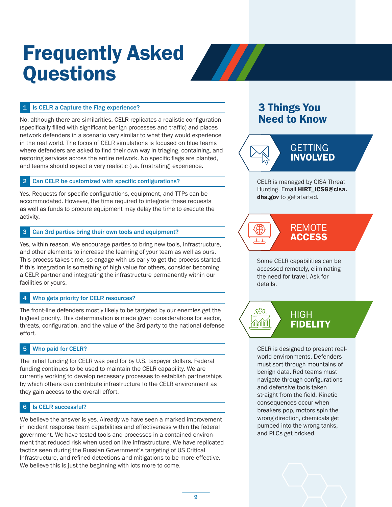## Frequently Asked **Questions**



No, although there are similarities. CELR replicates a realistic configuration (specifically filled with significant benign processes and traffic) and places network defenders in a scenario very similar to what they would experience in the real world. The focus of CELR simulations is focused on blue teams where defenders are asked to find their own way in triaging, containing, and restoring services across the entire network. No specific flags are planted, and teams should expect a very realistic (i.e. frustrating) experience.

#### 2 Can CELR be customized with specific configurations?

Yes. Requests for specific configurations, equipment, and TTPs can be accommodated. However, the time required to integrate these requests as well as funds to procure equipment may delay the time to execute the activity.

#### 3 Can 3rd parties bring their own tools and equipment?

Yes, within reason. We encourage parties to bring new tools, infrastructure, and other elements to increase the learning of your team as well as ours. This process takes time, so engage with us early to get the process started. If this integration is something of high value for others, consider becoming a CELR partner and integrating the infrastructure permanently within our facilities or yours.

#### 4 Who gets priority for CELR resources?

The front-line defenders mostly likely to be targeted by our enemies get the highest priority. This determination is made given considerations for sector, threats, configuration, and the value of the 3rd party to the national defense effort.

#### 5 Who paid for CELR?

The initial funding for CELR was paid for by U.S. taxpayer dollars. Federal funding continues to be used to maintain the CELR capability. We are currently working to develop necessary processes to establish partnerships by which others can contribute infrastructure to the CELR environment as they gain access to the overall effort.

#### 6 Is CELR successful?

We believe the answer is yes. Already we have seen a marked improvement in incident response team capabilities and effectiveness within the federal government. We have tested tools and processes in a contained environment that reduced risk when used on live infrastructure. We have replicated tactics seen during the Russian Government's targeting of US Critical Infrastructure, and refined detections and mitigations to be more effective. We believe this is just the beginning with lots more to come.

### 3 Things You Need to Know



CELR is managed by CISA Threat Hunting. Email HIRT\_ICSG@cisa. dhs.gov to get started.



Some CELR capabilities can be accessed remotely, eliminating the need for travel. Ask for details.



CELR is designed to present realworld environments. Defenders must sort through mountains of benign data. Red teams must navigate through configurations and defensive tools taken straight from the field. Kinetic consequences occur when breakers pop, motors spin the wrong direction, chemicals get pumped into the wrong tanks, and PLCs get bricked.